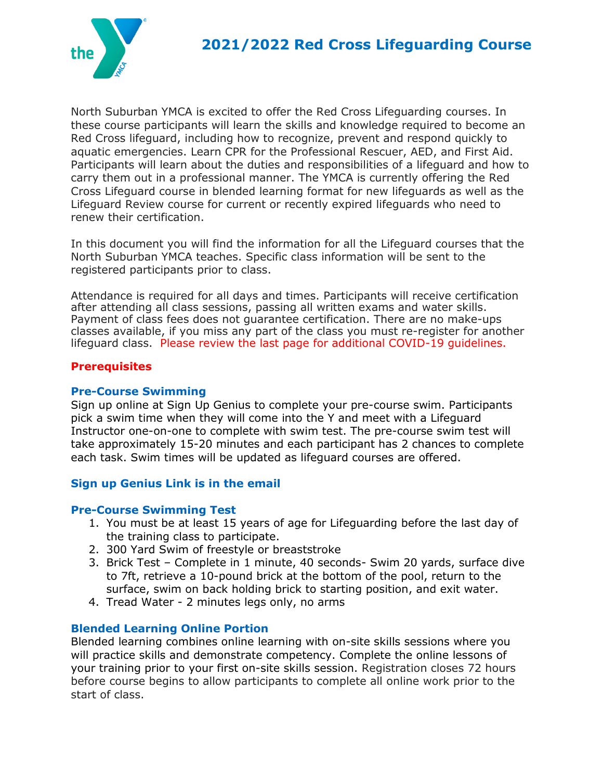

North Suburban YMCA is excited to offer the Red Cross Lifeguarding courses. In these course participants will learn the skills and knowledge required to become an Red Cross lifeguard, including how to recognize, prevent and respond quickly to aquatic emergencies. Learn CPR for the Professional Rescuer, AED, and First Aid. Participants will learn about the duties and responsibilities of a lifeguard and how to carry them out in a professional manner. The YMCA is currently offering the Red Cross Lifeguard course in blended learning format for new lifeguards as well as the Lifeguard Review course for current or recently expired lifeguards who need to renew their certification.

In this document you will find the information for all the Lifeguard courses that the North Suburban YMCA teaches. Specific class information will be sent to the registered participants prior to class.

Attendance is required for all days and times. Participants will receive certification after attending all class sessions, passing all written exams and water skills. Payment of class fees does not guarantee certification. There are no make-ups classes available, if you miss any part of the class you must re-register for another lifeguard class. Please review the last page for additional COVID-19 guidelines.

#### **Prerequisites**

#### **Pre-Course Swimming**

Sign up online at Sign Up Genius to complete your pre-course swim. Participants pick a swim time when they will come into the Y and meet with a Lifeguard Instructor one-on-one to complete with swim test. The pre-course swim test will take approximately 15-20 minutes and each participant has 2 chances to complete each task. Swim times will be updated as lifeguard courses are offered.

### **Sign up Genius Link is in the email**

### **Pre-Course Swimming Test**

- 1. You must be at least 15 years of age for Lifeguarding before the last day of the training class to participate.
- 2. 300 Yard Swim of freestyle or breaststroke
- 3. Brick Test Complete in 1 minute, 40 seconds- Swim 20 yards, surface dive to 7ft, retrieve a 10-pound brick at the bottom of the pool, return to the surface, swim on back holding brick to starting position, and exit water.
- 4. Tread Water 2 minutes legs only, no arms

### **Blended Learning Online Portion**

Blended learning combines online learning with on-site skills sessions where you will practice skills and demonstrate competency. Complete the online lessons of your training prior to your first on-site skills session. Registration closes 72 hours before course begins to allow participants to complete all online work prior to the start of class.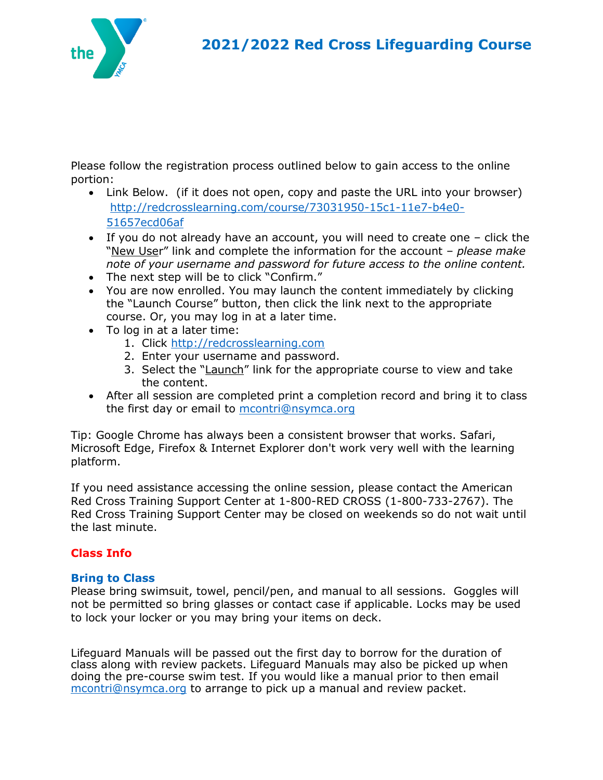

Please follow the registration process outlined below to gain access to the online portion:

- Link Below. (if it does not open, copy and paste the URL into your browser) [http://redcrosslearning.com/course/73031950-15c1-11e7-b4e0-](http://redcrosslearning.com/course/73031950-15c1-11e7-b4e0-51657ecd06af) [51657ecd06af](http://redcrosslearning.com/course/73031950-15c1-11e7-b4e0-51657ecd06af)
- If you do not already have an account, you will need to create one click the "New User" link and complete the information for the account – *please make note of your username and password for future access to the online content.*
- The next step will be to click "Confirm."
- You are now enrolled. You may launch the content immediately by clicking the "Launch Course" button, then click the link next to the appropriate course. Or, you may log in at a later time.
- To log in at a later time:
	- 1. Click [http://redcrosslearning.com](http://redcrosslearning.com/)
	- 2. Enter your username and password.
	- 3. Select the "Launch" link for the appropriate course to view and take the content.
- After all session are completed print a completion record and bring it to class the first day or email to [mcontri@nsymca.org](mailto:mcontri@nsymca.org)

Tip: Google Chrome has always been a consistent browser that works. Safari, Microsoft Edge, Firefox & Internet Explorer don't work very well with the learning platform.

If you need assistance accessing the online session, please contact the American Red Cross Training Support Center at 1-800-RED CROSS (1-800-733-2767). The Red Cross Training Support Center may be closed on weekends so do not wait until the last minute.

## **Class Info**

### **Bring to Class**

Please bring swimsuit, towel, pencil/pen, and manual to all sessions. Goggles will not be permitted so bring glasses or contact case if applicable. Locks may be used to lock your locker or you may bring your items on deck.

Lifeguard Manuals will be passed out the first day to borrow for the duration of class along with review packets. Lifeguard Manuals may also be picked up when doing the pre-course swim test. If you would like a manual prior to then email [mcontri@nsymca.org](mailto:mcontri@nsymca.org) to arrange to pick up a manual and review packet.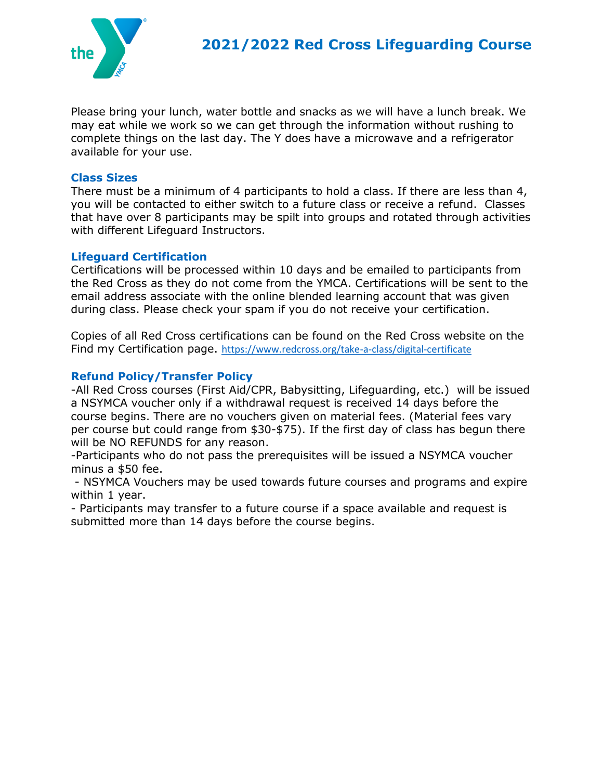

Please bring your lunch, water bottle and snacks as we will have a lunch break. We may eat while we work so we can get through the information without rushing to complete things on the last day. The Y does have a microwave and a refrigerator available for your use.

#### **Class Sizes**

There must be a minimum of 4 participants to hold a class. If there are less than 4, you will be contacted to either switch to a future class or receive a refund. Classes that have over 8 participants may be spilt into groups and rotated through activities with different Lifeguard Instructors.

#### **Lifeguard Certification**

Certifications will be processed within 10 days and be emailed to participants from the Red Cross as they do not come from the YMCA. Certifications will be sent to the email address associate with the online blended learning account that was given during class. Please check your spam if you do not receive your certification.

Copies of all Red Cross certifications can be found on the Red Cross website on the Find my Certification page. <https://www.redcross.org/take-a-class/digital-certificate>

## **Refund Policy/Transfer Policy**

-All Red Cross courses (First Aid/CPR, Babysitting, Lifeguarding, etc.) will be issued a NSYMCA voucher only if a withdrawal request is received 14 days before the course begins. There are no vouchers given on material fees. (Material fees vary per course but could range from \$30-\$75). If the first day of class has begun there will be NO REFUNDS for any reason.

-Participants who do not pass the prerequisites will be issued a NSYMCA voucher minus a \$50 fee.

- NSYMCA Vouchers may be used towards future courses and programs and expire within 1 year.

- Participants may transfer to a future course if a space available and request is submitted more than 14 days before the course begins.